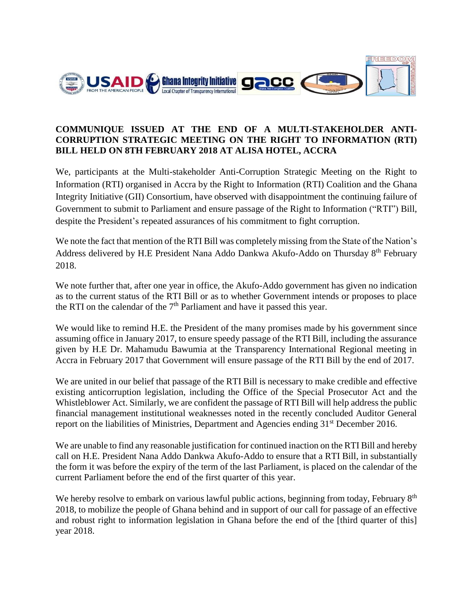

## **COMMUNIQUE ISSUED AT THE END OF A MULTI-STAKEHOLDER ANTI-CORRUPTION STRATEGIC MEETING ON THE RIGHT TO INFORMATION (RTI) BILL HELD ON 8TH FEBRUARY 2018 AT ALISA HOTEL, ACCRA**

We, participants at the Multi-stakeholder Anti-Corruption Strategic Meeting on the Right to Information (RTI) organised in Accra by the Right to Information (RTI) Coalition and the Ghana Integrity Initiative (GII) Consortium, have observed with disappointment the continuing failure of Government to submit to Parliament and ensure passage of the Right to Information ("RTI") Bill, despite the President's repeated assurances of his commitment to fight corruption.

We note the fact that mention of the RTI Bill was completely missing from the State of the Nation's Address delivered by H.E President Nana Addo Dankwa Akufo-Addo on Thursday  $8<sup>th</sup>$  February 2018.

We note further that, after one year in office, the Akufo-Addo government has given no indication as to the current status of the RTI Bill or as to whether Government intends or proposes to place the RTI on the calendar of the  $7<sup>th</sup>$  Parliament and have it passed this year.

We would like to remind H.E. the President of the many promises made by his government since assuming office in January 2017, to ensure speedy passage of the RTI Bill, including the assurance given by H.E Dr. Mahamudu Bawumia at the Transparency International Regional meeting in Accra in February 2017 that Government will ensure passage of the RTI Bill by the end of 2017.

We are united in our belief that passage of the RTI Bill is necessary to make credible and effective existing anticorruption legislation, including the Office of the Special Prosecutor Act and the Whistleblower Act. Similarly, we are confident the passage of RTI Bill will help address the public financial management institutional weaknesses noted in the recently concluded Auditor General report on the liabilities of Ministries, Department and Agencies ending  $31<sup>st</sup>$  December 2016.

We are unable to find any reasonable justification for continued inaction on the RTI Bill and hereby call on H.E. President Nana Addo Dankwa Akufo-Addo to ensure that a RTI Bill, in substantially the form it was before the expiry of the term of the last Parliament, is placed on the calendar of the current Parliament before the end of the first quarter of this year.

We hereby resolve to embark on various lawful public actions, beginning from today, February 8<sup>th</sup> 2018, to mobilize the people of Ghana behind and in support of our call for passage of an effective and robust right to information legislation in Ghana before the end of the [third quarter of this] year 2018.